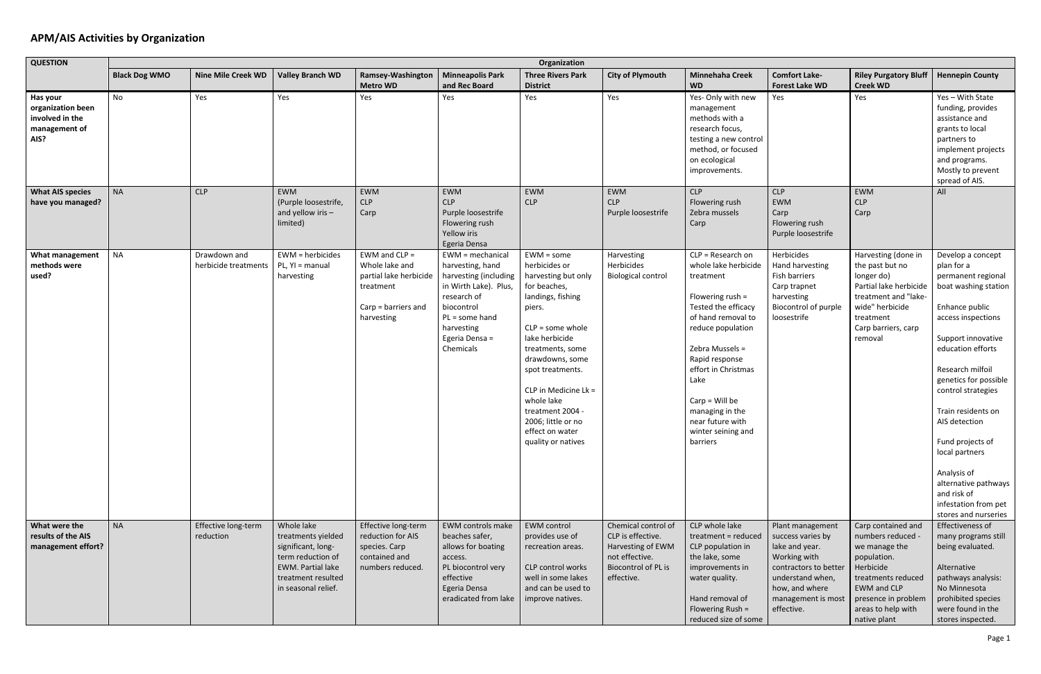## **APM/AIS Activities by Organization**

| <b>QUESTION</b>                                                           | Organization         |                                      |                                                                                                                                               |                                                                                                               |                                                                                                                                                                                    |                                                                                                                                                                                                                                                                                                                                 |                                                                                                                      |                                                                                                                                                                                                                                                                                                                   |                                                                                                                                                                            |                                                                                                                                                                                               |                                                                                                                                                                                                                                                                                                                                                                                                                        |
|---------------------------------------------------------------------------|----------------------|--------------------------------------|-----------------------------------------------------------------------------------------------------------------------------------------------|---------------------------------------------------------------------------------------------------------------|------------------------------------------------------------------------------------------------------------------------------------------------------------------------------------|---------------------------------------------------------------------------------------------------------------------------------------------------------------------------------------------------------------------------------------------------------------------------------------------------------------------------------|----------------------------------------------------------------------------------------------------------------------|-------------------------------------------------------------------------------------------------------------------------------------------------------------------------------------------------------------------------------------------------------------------------------------------------------------------|----------------------------------------------------------------------------------------------------------------------------------------------------------------------------|-----------------------------------------------------------------------------------------------------------------------------------------------------------------------------------------------|------------------------------------------------------------------------------------------------------------------------------------------------------------------------------------------------------------------------------------------------------------------------------------------------------------------------------------------------------------------------------------------------------------------------|
|                                                                           | <b>Black Dog WMO</b> | <b>Nine Mile Creek WD</b>            | <b>Valley Branch WD</b>                                                                                                                       | Ramsey-Washington<br><b>Metro WD</b>                                                                          | <b>Minneapolis Park</b><br>and Rec Board                                                                                                                                           | <b>Three Rivers Park</b><br><b>District</b>                                                                                                                                                                                                                                                                                     | <b>City of Plymouth</b>                                                                                              | <b>Minnehaha Creek</b><br><b>WD</b>                                                                                                                                                                                                                                                                               | <b>Comfort Lake-</b><br><b>Forest Lake WD</b>                                                                                                                              | <b>Riley Purgatory Bluff</b><br><b>Creek WD</b>                                                                                                                                               | <b>Hennepin County</b>                                                                                                                                                                                                                                                                                                                                                                                                 |
| Has your<br>organization been<br>involved in the<br>management of<br>AIS? | No                   | Yes                                  | Yes                                                                                                                                           | Yes                                                                                                           | Yes                                                                                                                                                                                | Yes                                                                                                                                                                                                                                                                                                                             | Yes                                                                                                                  | Yes- Only with new<br>management<br>methods with a<br>research focus,<br>testing a new control<br>method, or focused<br>on ecological<br>improvements.                                                                                                                                                            | Yes                                                                                                                                                                        | Yes                                                                                                                                                                                           | Yes - With State<br>funding, provides<br>assistance and<br>grants to local<br>partners to<br>implement projects<br>and programs.<br>Mostly to prevent<br>spread of AIS.                                                                                                                                                                                                                                                |
| <b>What AIS species</b><br>have you managed?                              | <b>NA</b>            | <b>CLP</b>                           | <b>EWM</b><br>(Purple loosestrife,<br>and yellow iris $-$<br>limited)                                                                         | EWM<br><b>CLP</b><br>Carp                                                                                     | EWM<br>CLP<br>Purple loosestrife<br>Flowering rush<br>Yellow iris<br>Egeria Densa                                                                                                  | EWM<br><b>CLP</b>                                                                                                                                                                                                                                                                                                               | EWM<br><b>CLP</b><br>Purple loosestrife                                                                              | <b>CLP</b><br>Flowering rush<br>Zebra mussels<br>Carp                                                                                                                                                                                                                                                             | <b>CLP</b><br>EWM<br>Carp<br>Flowering rush<br>Purple loosestrife                                                                                                          | EWM<br><b>CLP</b><br>Carp                                                                                                                                                                     | All                                                                                                                                                                                                                                                                                                                                                                                                                    |
| <b>What management</b><br>methods were<br>used?                           | <b>NA</b>            | Drawdown and<br>herbicide treatments | EWM = herbicides<br>PL, YI = manual<br>harvesting                                                                                             | EWM and $CLP =$<br>Whole lake and<br>partial lake herbicide<br>treatment<br>Carp = barriers and<br>harvesting | EWM = mechanical<br>harvesting, hand<br>harvesting (including<br>in Wirth Lake). Plus,<br>research of<br>biocontrol<br>PL = some hand<br>harvesting<br>Egeria Densa =<br>Chemicals | $EWM = some$<br>herbicides or<br>harvesting but only<br>for beaches,<br>landings, fishing<br>piers.<br>$CLP = some whole$<br>lake herbicide<br>treatments, some<br>drawdowns, some<br>spot treatments.<br>CLP in Medicine Lk =<br>whole lake<br>treatment 2004 -<br>2006; little or no<br>effect on water<br>quality or natives | Harvesting<br>Herbicides<br><b>Biological control</b>                                                                | $CLP = Research$ on<br>whole lake herbicide<br>treatment<br>Flowering rush $=$<br>Tested the efficacy<br>of hand removal to<br>reduce population<br>Zebra Mussels =<br>Rapid response<br>effort in Christmas<br>Lake<br>$Carp = Will be$<br>managing in the<br>near future with<br>winter seining and<br>barriers | Herbicides<br>Hand harvesting<br>Fish barriers<br>Carp trapnet<br>harvesting<br>Biocontrol of purple<br>loosestrife                                                        | Harvesting (done in<br>the past but no<br>longer do)<br>Partial lake herbicide<br>treatment and "lake-<br>wide" herbicide<br>treatment<br>Carp barriers, carp<br>removal                      | Develop a concept<br>plan for a<br>permanent regional<br>boat washing station<br>Enhance public<br>access inspections<br>Support innovative<br>education efforts<br>Research milfoil<br>genetics for possible<br>control strategies<br>Train residents on<br>AIS detection<br>Fund projects of<br>local partners<br>Analysis of<br>alternative pathways<br>and risk of<br>infestation from pet<br>stores and nurseries |
| What were the<br>results of the AIS<br>management effort?                 | <b>NA</b>            | Effective long-term<br>reduction     | Whole lake<br>treatments yielded<br>significant, long-<br>term reduction of<br>EWM. Partial lake<br>treatment resulted<br>in seasonal relief. | Effective long-term<br>reduction for AIS<br>species. Carp<br>contained and<br>numbers reduced.                | EWM controls make<br>beaches safer,<br>allows for boating<br>access.<br>PL biocontrol very<br>effective<br>Egeria Densa<br>eradicated from lake                                    | <b>EWM</b> control<br>provides use of<br>recreation areas.<br>CLP control works<br>well in some lakes<br>and can be used to<br>improve natives.                                                                                                                                                                                 | Chemical control of<br>CLP is effective.<br>Harvesting of EWM<br>not effective.<br>Biocontrol of PL is<br>effective. | CLP whole lake<br>treatment = reduced<br>CLP population in<br>the lake, some<br>improvements in<br>water quality.<br>Hand removal of<br>Flowering Rush =<br>reduced size of some                                                                                                                                  | Plant management<br>success varies by<br>lake and year.<br>Working with<br>contractors to better<br>understand when,<br>how, and where<br>management is most<br>effective. | Carp contained and<br>numbers reduced -<br>we manage the<br>population.<br>Herbicide<br>treatments reduced<br><b>EWM</b> and CLP<br>presence in problem<br>areas to help with<br>native plant | Effectiveness of<br>many programs still<br>being evaluated.<br>Alternative<br>pathways analysis:<br>No Minnesota<br>prohibited species<br>were found in the<br>stores inspected.                                                                                                                                                                                                                                       |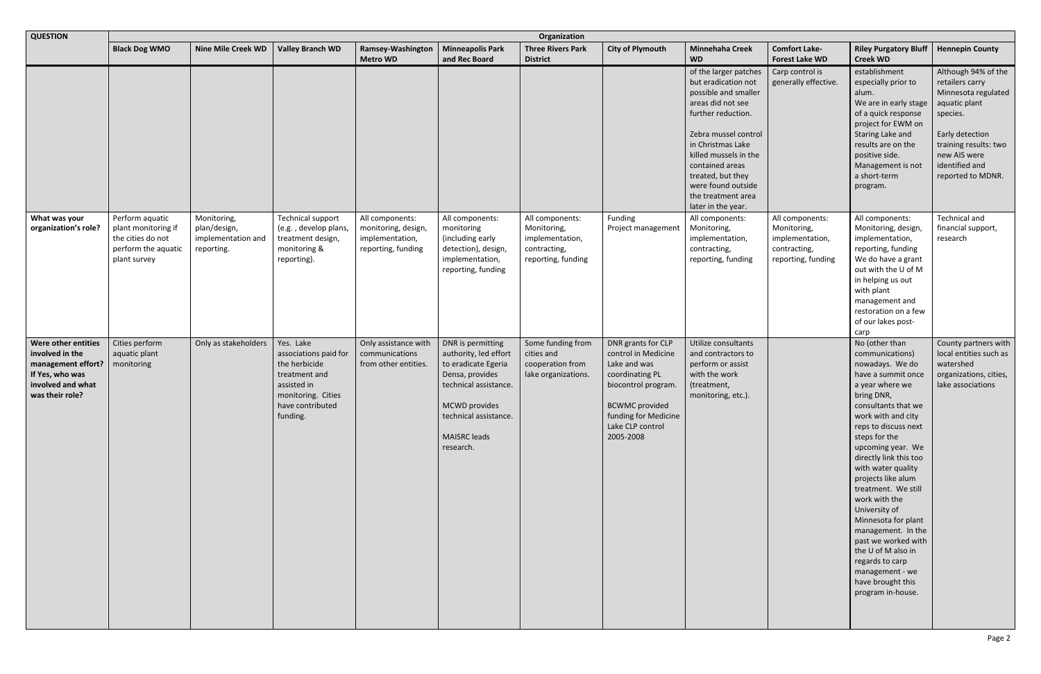| <b>QUESTION</b>                                                                                                         | Organization                                                                                       |                                                                 |                                                                                                                                           |                                                                                 |                                                                                                                                                                                             |                                                                                         |                                                                                                                                                                                       |                                                                                                                                                                                                                                                                                                 |                                                                                         |                                                                                                                                                                                                                                                                                                                                                                                                                                                                                                                                 |                                                                                                                                                                                               |
|-------------------------------------------------------------------------------------------------------------------------|----------------------------------------------------------------------------------------------------|-----------------------------------------------------------------|-------------------------------------------------------------------------------------------------------------------------------------------|---------------------------------------------------------------------------------|---------------------------------------------------------------------------------------------------------------------------------------------------------------------------------------------|-----------------------------------------------------------------------------------------|---------------------------------------------------------------------------------------------------------------------------------------------------------------------------------------|-------------------------------------------------------------------------------------------------------------------------------------------------------------------------------------------------------------------------------------------------------------------------------------------------|-----------------------------------------------------------------------------------------|---------------------------------------------------------------------------------------------------------------------------------------------------------------------------------------------------------------------------------------------------------------------------------------------------------------------------------------------------------------------------------------------------------------------------------------------------------------------------------------------------------------------------------|-----------------------------------------------------------------------------------------------------------------------------------------------------------------------------------------------|
|                                                                                                                         | <b>Black Dog WMO</b>                                                                               | <b>Nine Mile Creek WD</b>                                       | <b>Valley Branch WD</b>                                                                                                                   | Ramsey-Washington<br><b>Metro WD</b>                                            | <b>Minneapolis Park</b><br>and Rec Board                                                                                                                                                    | <b>Three Rivers Park</b><br><b>District</b>                                             | <b>City of Plymouth</b>                                                                                                                                                               | <b>Minnehaha Creek</b><br><b>WD</b>                                                                                                                                                                                                                                                             | <b>Comfort Lake-</b><br><b>Forest Lake WD</b>                                           | <b>Riley Purgatory Bluff</b><br><b>Creek WD</b>                                                                                                                                                                                                                                                                                                                                                                                                                                                                                 | <b>Hennepin County</b>                                                                                                                                                                        |
|                                                                                                                         |                                                                                                    |                                                                 |                                                                                                                                           |                                                                                 |                                                                                                                                                                                             |                                                                                         |                                                                                                                                                                                       | of the larger patches<br>but eradication not<br>possible and smaller<br>areas did not see<br>further reduction.<br>Zebra mussel control<br>in Christmas Lake<br>killed mussels in the<br>contained areas<br>treated, but they<br>were found outside<br>the treatment area<br>later in the year. | Carp control is<br>generally effective.                                                 | establishment<br>especially prior to<br>alum.<br>We are in early stage<br>of a quick response<br>project for EWM on<br>Staring Lake and<br>results are on the<br>positive side.<br>Management is not<br>a short-term<br>program.                                                                                                                                                                                                                                                                                                | Although 94% of the<br>retailers carry<br>Minnesota regulated<br>aquatic plant<br>species.<br>Early detection<br>training results: two<br>new AIS were<br>identified and<br>reported to MDNR. |
| What was your<br>organization's role?                                                                                   | Perform aquatic<br>plant monitoring if<br>the cities do not<br>perform the aquatic<br>plant survey | Monitoring,<br>plan/design,<br>implementation and<br>reporting. | <b>Technical support</b><br>(e.g., develop plans,<br>treatment design,<br>monitoring &<br>reporting).                                     | All components:<br>monitoring, design,<br>implementation,<br>reporting, funding | All components:<br>monitoring<br>(including early<br>detection), design,<br>implementation,<br>reporting, funding                                                                           | All components:<br>Monitoring,<br>implementation,<br>contracting,<br>reporting, funding | Funding<br>Project management                                                                                                                                                         | All components:<br>Monitoring,<br>implementation,<br>contracting,<br>reporting, funding                                                                                                                                                                                                         | All components:<br>Monitoring,<br>implementation,<br>contracting,<br>reporting, funding | All components:<br>Monitoring, design,<br>implementation,<br>reporting, funding<br>We do have a grant<br>out with the U of M<br>in helping us out<br>with plant<br>management and<br>restoration on a few<br>of our lakes post-<br>carp                                                                                                                                                                                                                                                                                         | Technical and<br>financial support,<br>research                                                                                                                                               |
| Were other entities<br>involved in the<br>management effort?<br>If Yes, who was<br>involved and what<br>was their role? | Cities perform<br>aquatic plant<br>monitoring                                                      | Only as stakeholders                                            | Yes. Lake<br>associations paid for<br>the herbicide<br>treatment and<br>assisted in<br>monitoring. Cities<br>have contributed<br>funding. | Only assistance with<br>communications<br>from other entities.                  | DNR is permitting<br>authority, led effort<br>to eradicate Egeria<br>Densa, provides<br>technical assistance.<br>MCWD provides<br>technical assistance.<br><b>MAISRC</b> leads<br>research. | Some funding from<br>cities and<br>cooperation from<br>lake organizations.              | DNR grants for CLP<br>control in Medicine<br>Lake and was<br>coordinating PL<br>biocontrol program.<br><b>BCWMC</b> provided<br>funding for Medicine<br>Lake CLP control<br>2005-2008 | Utilize consultants<br>and contractors to<br>perform or assist<br>with the work<br>(treatment,<br>monitoring, etc.).                                                                                                                                                                            |                                                                                         | No (other than<br>communications)<br>nowadays. We do<br>have a summit once<br>a year where we<br>bring DNR,<br>consultants that we<br>work with and city<br>reps to discuss next<br>steps for the<br>upcoming year. We<br>directly link this too<br>with water quality<br>projects like alum<br>treatment. We still<br>work with the<br>University of<br>Minnesota for plant<br>management. In the<br>past we worked with<br>the U of M also in<br>regards to carp<br>management - we<br>have brought this<br>program in-house. | County partners with<br>local entities such as<br>watershed<br>organizations, cities,<br>lake associations                                                                                    |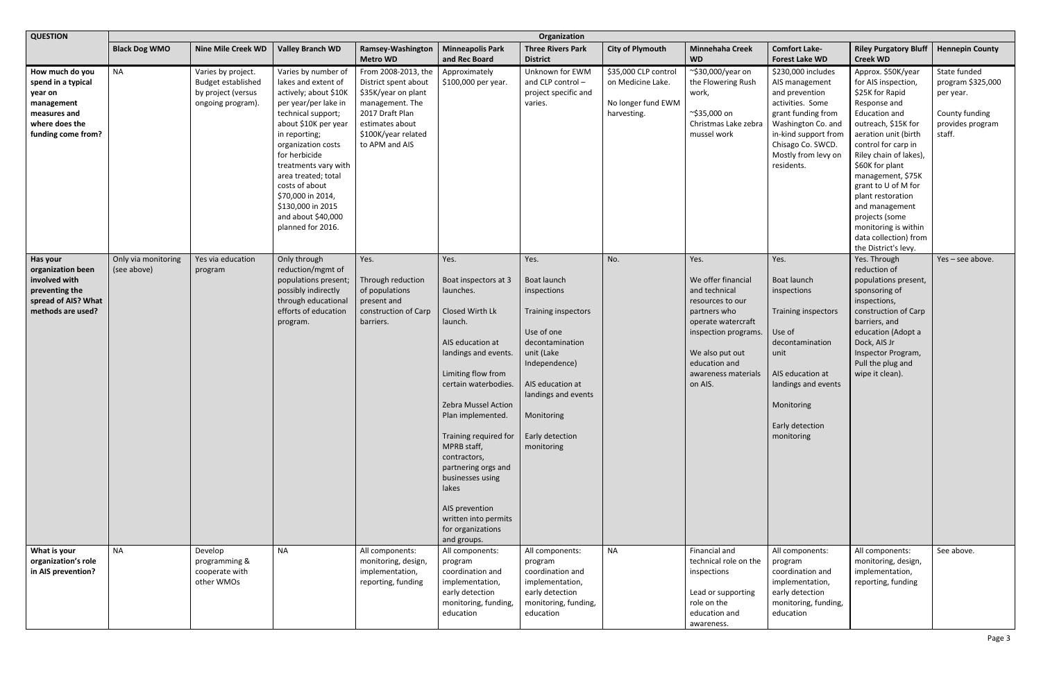| <b>QUESTION</b>                                                                                                        | Organization                       |                                                                                            |                                                                                                                                                                                                                                                                                                                                                         |                                                                                                                                                                      |                                                                                                                                                                                                                                                                                                                                                                                                                |                                                                                                                                                                                                                     |                                                                                |                                                                                                                                                                                                     |                                                                                                                                                                                                          |                                                                                                                                                                                                                                                                                                                                                                                                       |                                                                                                |  |
|------------------------------------------------------------------------------------------------------------------------|------------------------------------|--------------------------------------------------------------------------------------------|---------------------------------------------------------------------------------------------------------------------------------------------------------------------------------------------------------------------------------------------------------------------------------------------------------------------------------------------------------|----------------------------------------------------------------------------------------------------------------------------------------------------------------------|----------------------------------------------------------------------------------------------------------------------------------------------------------------------------------------------------------------------------------------------------------------------------------------------------------------------------------------------------------------------------------------------------------------|---------------------------------------------------------------------------------------------------------------------------------------------------------------------------------------------------------------------|--------------------------------------------------------------------------------|-----------------------------------------------------------------------------------------------------------------------------------------------------------------------------------------------------|----------------------------------------------------------------------------------------------------------------------------------------------------------------------------------------------------------|-------------------------------------------------------------------------------------------------------------------------------------------------------------------------------------------------------------------------------------------------------------------------------------------------------------------------------------------------------------------------------------------------------|------------------------------------------------------------------------------------------------|--|
|                                                                                                                        | <b>Black Dog WMO</b>               | <b>Nine Mile Creek WD</b>                                                                  | <b>Valley Branch WD</b>                                                                                                                                                                                                                                                                                                                                 | Ramsey-Washington<br><b>Metro WD</b>                                                                                                                                 | <b>Minneapolis Park</b><br>and Rec Board                                                                                                                                                                                                                                                                                                                                                                       | <b>Three Rivers Park</b><br><b>District</b>                                                                                                                                                                         | <b>City of Plymouth</b>                                                        | <b>Minnehaha Creek</b><br><b>WD</b>                                                                                                                                                                 | <b>Comfort Lake-</b><br><b>Forest Lake WD</b>                                                                                                                                                            | <b>Riley Purgatory Bluff</b><br><b>Creek WD</b>                                                                                                                                                                                                                                                                                                                                                       | <b>Hennepin County</b>                                                                         |  |
| How much do you<br>spend in a typical<br>year on<br>management<br>measures and<br>where does the<br>funding come from? | <b>NA</b>                          | Varies by project.<br><b>Budget established</b><br>by project (versus<br>ongoing program). | Varies by number of<br>lakes and extent of<br>actively; about \$10K<br>per year/per lake in<br>technical support;<br>about \$10K per year<br>in reporting;<br>organization costs<br>for herbicide<br>treatments vary with<br>area treated; total<br>costs of about<br>\$70,000 in 2014,<br>\$130,000 in 2015<br>and about \$40,000<br>planned for 2016. | From 2008-2013, the<br>District spent about<br>\$35K/year on plant<br>management. The<br>2017 Draft Plan<br>estimates about<br>\$100K/year related<br>to APM and AIS | Approximately<br>\$100,000 per year.                                                                                                                                                                                                                                                                                                                                                                           | Unknown for EWM<br>and CLP control-<br>project specific and<br>varies.                                                                                                                                              | \$35,000 CLP control<br>on Medicine Lake.<br>No longer fund EWM<br>harvesting. | ~\$30,000/year on<br>the Flowering Rush<br>work,<br>~\$35,000 on<br>Christmas Lake zebra<br>mussel work                                                                                             | \$230,000 includes<br>AIS management<br>and prevention<br>activities. Some<br>grant funding from<br>Washington Co. and<br>in-kind support from<br>Chisago Co. SWCD.<br>Mostly from levy on<br>residents. | Approx. \$50K/year<br>for AIS inspection,<br>\$25K for Rapid<br>Response and<br><b>Education and</b><br>outreach, \$15K for<br>aeration unit (birth<br>control for carp in<br>Riley chain of lakes),<br>\$60K for plant<br>management, \$75K<br>grant to U of M for<br>plant restoration<br>and management<br>projects (some<br>monitoring is within<br>data collection) from<br>the District's levy. | State funded<br>program \$325,000<br>per year.<br>County funding<br>provides program<br>staff. |  |
| Has your<br>organization been<br>involved with<br>preventing the<br>spread of AIS? What<br>methods are used?           | Only via monitoring<br>(see above) | Yes via education<br>program                                                               | Only through<br>reduction/mgmt of<br>populations present;<br>possibly indirectly<br>through educational<br>efforts of education<br>program.                                                                                                                                                                                                             | Yes.<br>Through reduction<br>of populations<br>present and<br>construction of Carp<br>barriers.                                                                      | Yes.<br>Boat inspectors at 3<br>launches.<br>Closed Wirth Lk<br>launch.<br>AIS education at<br>landings and events.<br>Limiting flow from<br>certain waterbodies.<br><b>Zebra Mussel Action</b><br>Plan implemented.<br>Training required for<br>MPRB staff,<br>contractors,<br>partnering orgs and<br>businesses using<br>lakes<br>AIS prevention<br>written into permits<br>for organizations<br>and groups. | Yes.<br>Boat launch<br>inspections<br>Training inspectors<br>Use of one<br>decontamination<br>unit (Lake<br>Independence)<br>AIS education at<br>landings and events<br>Monitoring<br>Early detection<br>monitoring | No.                                                                            | Yes.<br>We offer financial<br>and technical<br>resources to our<br>partners who<br>operate watercraft<br>inspection programs.<br>We also put out<br>education and<br>awareness materials<br>on AIS. | Yes.<br>Boat launch<br>inspections<br>Training inspectors<br>Use of<br>decontamination<br>unit<br>AIS education at<br>landings and events<br>Monitoring<br>Early detection<br>monitoring                 | Yes. Through<br>reduction of<br>populations present,<br>sponsoring of<br>inspections,<br>construction of Carp<br>barriers, and<br>education (Adopt a<br>Dock, AIS Jr<br>Inspector Program,<br>Pull the plug and<br>wipe it clean).                                                                                                                                                                    | Yes - see above.                                                                               |  |
| What is your<br>organization's role<br>in AIS prevention?                                                              | <b>NA</b>                          | Develop<br>programming &<br>cooperate with<br>other WMOs                                   | <b>NA</b>                                                                                                                                                                                                                                                                                                                                               | All components:<br>monitoring, design,<br>implementation,<br>reporting, funding                                                                                      | All components:<br>program<br>coordination and<br>implementation,<br>early detection<br>monitoring, funding,<br>education                                                                                                                                                                                                                                                                                      | All components:<br>program<br>coordination and<br>implementation,<br>early detection<br>monitoring, funding,<br>education                                                                                           | <b>NA</b>                                                                      | Financial and<br>technical role on the<br>inspections<br>Lead or supporting<br>role on the<br>education and<br>awareness.                                                                           | All components:<br>program<br>coordination and<br>implementation,<br>early detection<br>monitoring, funding,<br>education                                                                                | All components:<br>monitoring, design,<br>implementation,<br>reporting, funding                                                                                                                                                                                                                                                                                                                       | See above.                                                                                     |  |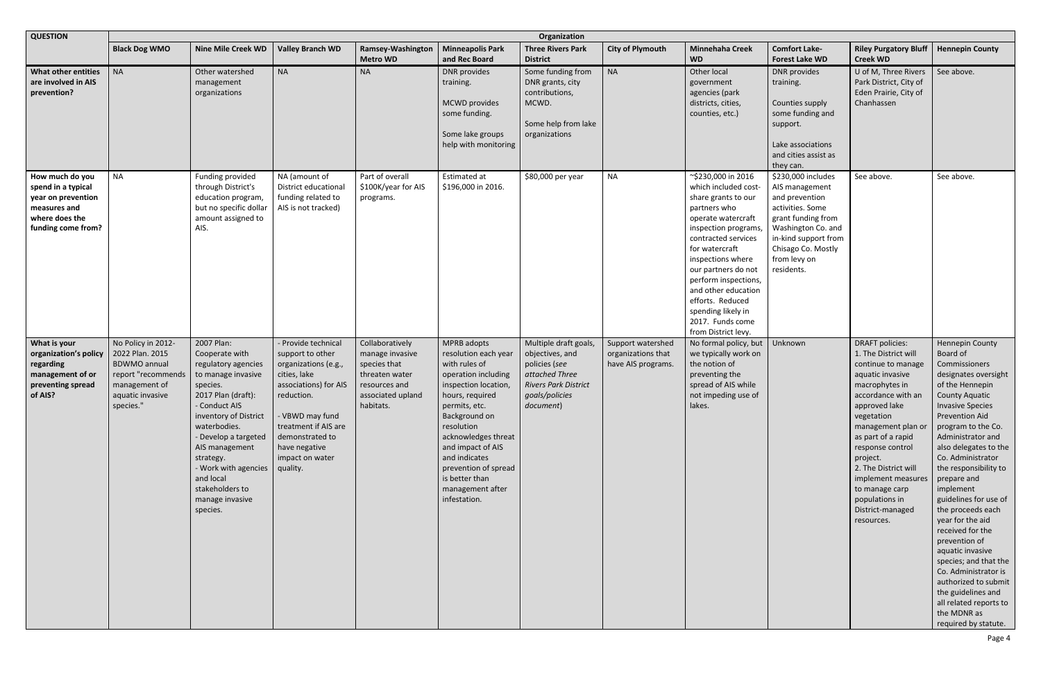| <b>QUESTION</b>                                                                                                     | Organization                                                                                                                         |                                                                                                                                                                                                                                                                                                                              |                                                                                                                                                                                                                          |                                                                                                                         |                                                                                                                                                                                                                                                                                                                   |                                                                                                                                           |                                                               |                                                                                                                                                                                                                                                                                                                                                          |                                                                                                                                                                                                    |                                                                                                                                                                                                                                                                                                                                                                 |                                                                                                                                                                                                                                                                                                                                                                                                                                                                                                                                                                                                                      |
|---------------------------------------------------------------------------------------------------------------------|--------------------------------------------------------------------------------------------------------------------------------------|------------------------------------------------------------------------------------------------------------------------------------------------------------------------------------------------------------------------------------------------------------------------------------------------------------------------------|--------------------------------------------------------------------------------------------------------------------------------------------------------------------------------------------------------------------------|-------------------------------------------------------------------------------------------------------------------------|-------------------------------------------------------------------------------------------------------------------------------------------------------------------------------------------------------------------------------------------------------------------------------------------------------------------|-------------------------------------------------------------------------------------------------------------------------------------------|---------------------------------------------------------------|----------------------------------------------------------------------------------------------------------------------------------------------------------------------------------------------------------------------------------------------------------------------------------------------------------------------------------------------------------|----------------------------------------------------------------------------------------------------------------------------------------------------------------------------------------------------|-----------------------------------------------------------------------------------------------------------------------------------------------------------------------------------------------------------------------------------------------------------------------------------------------------------------------------------------------------------------|----------------------------------------------------------------------------------------------------------------------------------------------------------------------------------------------------------------------------------------------------------------------------------------------------------------------------------------------------------------------------------------------------------------------------------------------------------------------------------------------------------------------------------------------------------------------------------------------------------------------|
|                                                                                                                     | <b>Black Dog WMO</b>                                                                                                                 | <b>Nine Mile Creek WD</b>                                                                                                                                                                                                                                                                                                    | <b>Valley Branch WD</b>                                                                                                                                                                                                  | Ramsey-Washington<br><b>Metro WD</b>                                                                                    | <b>Minneapolis Park</b><br>and Rec Board                                                                                                                                                                                                                                                                          | <b>Three Rivers Park</b><br><b>District</b>                                                                                               | <b>City of Plymouth</b>                                       | <b>Minnehaha Creek</b><br><b>WD</b>                                                                                                                                                                                                                                                                                                                      | <b>Comfort Lake-</b><br><b>Forest Lake WD</b>                                                                                                                                                      | <b>Riley Purgatory Bluff</b><br><b>Creek WD</b>                                                                                                                                                                                                                                                                                                                 | <b>Hennepin County</b>                                                                                                                                                                                                                                                                                                                                                                                                                                                                                                                                                                                               |
| <b>What other entities</b><br>are involved in AIS<br>prevention?                                                    | <b>NA</b>                                                                                                                            | Other watershed<br>management<br>organizations                                                                                                                                                                                                                                                                               | <b>NA</b>                                                                                                                                                                                                                | <b>NA</b>                                                                                                               | <b>DNR</b> provides<br>training.<br><b>MCWD</b> provides<br>some funding.<br>Some lake groups<br>help with monitoring                                                                                                                                                                                             | Some funding from<br>DNR grants, city<br>contributions,<br>MCWD.<br>Some help from lake<br>organizations                                  | <b>NA</b>                                                     | Other local<br>government<br>agencies (park<br>districts, cities,<br>counties, etc.)                                                                                                                                                                                                                                                                     | DNR provides<br>training.<br>Counties supply<br>some funding and<br>support.<br>Lake associations<br>and cities assist as<br>they can.                                                             | U of M, Three Rivers<br>Park District, City of<br>Eden Prairie, City of<br>Chanhassen                                                                                                                                                                                                                                                                           | See above.                                                                                                                                                                                                                                                                                                                                                                                                                                                                                                                                                                                                           |
| How much do you<br>spend in a typical<br>year on prevention<br>measures and<br>where does the<br>funding come from? | <b>NA</b>                                                                                                                            | Funding provided<br>through District's<br>education program,<br>but no specific dollar<br>amount assigned to<br>AIS.                                                                                                                                                                                                         | NA (amount of<br>District educational<br>funding related to<br>AIS is not tracked)                                                                                                                                       | Part of overall<br>\$100K/year for AIS<br>programs.                                                                     | Estimated at<br>\$196,000 in 2016.                                                                                                                                                                                                                                                                                | \$80,000 per year                                                                                                                         | <b>NA</b>                                                     | ~\$230,000 in 2016<br>which included cost-<br>share grants to our<br>partners who<br>operate watercraft<br>inspection programs,<br>contracted services<br>for watercraft<br>inspections where<br>our partners do not<br>perform inspections,<br>and other education<br>efforts. Reduced<br>spending likely in<br>2017. Funds come<br>from District levy. | \$230,000 includes<br>AIS management<br>and prevention<br>activities. Some<br>grant funding from<br>Washington Co. and<br>in-kind support from<br>Chisago Co. Mostly<br>from levy on<br>residents. | See above.                                                                                                                                                                                                                                                                                                                                                      | See above.                                                                                                                                                                                                                                                                                                                                                                                                                                                                                                                                                                                                           |
| What is your<br>organization's policy<br>regarding<br>management of or<br>preventing spread<br>of AIS?              | No Policy in 2012-<br>2022 Plan. 2015<br><b>BDWMO</b> annual<br>report "recommends<br>management of<br>aquatic invasive<br>species." | 2007 Plan:<br>Cooperate with<br>regulatory agencies<br>to manage invasive<br>species.<br>2017 Plan (draft):<br>- Conduct AIS<br>inventory of District<br>waterbodies.<br>- Develop a targeted<br>AIS management<br>strategy.<br>- Work with agencies quality.<br>and local<br>stakeholders to<br>manage invasive<br>species. | - Provide technical<br>support to other<br>organizations (e.g.,<br>cities, lake<br>associations) for AIS<br>reduction.<br>- VBWD may fund<br>treatment if AIS are<br>demonstrated to<br>have negative<br>impact on water | Collaboratively<br>manage invasive<br>species that<br>threaten water<br>resources and<br>associated upland<br>habitats. | MPRB adopts<br>resolution each year<br>with rules of<br>operation including<br>inspection location,<br>hours, required<br>permits, etc.<br>Background on<br>resolution<br>acknowledges threat<br>and impact of AIS<br>and indicates<br>prevention of spread<br>is better than<br>management after<br>infestation. | Multiple draft goals,<br>objectives, and<br>policies (see<br>attached Three<br><b>Rivers Park District</b><br>goals/policies<br>document) | Support watershed<br>organizations that<br>have AIS programs. | No formal policy, but<br>we typically work on<br>the notion of<br>preventing the<br>spread of AIS while<br>not impeding use of<br>lakes.                                                                                                                                                                                                                 | Unknown                                                                                                                                                                                            | <b>DRAFT policies:</b><br>1. The District will<br>continue to manage<br>aquatic invasive<br>macrophytes in<br>accordance with an<br>approved lake<br>vegetation<br>management plan or<br>as part of a rapid<br>response control<br>project.<br>2. The District will<br>implement measures<br>to manage carp<br>populations in<br>District-managed<br>resources. | <b>Hennepin County</b><br>Board of<br>Commissioners<br>designates oversight<br>of the Hennepin<br><b>County Aquatic</b><br><b>Invasive Species</b><br><b>Prevention Aid</b><br>program to the Co.<br>Administrator and<br>also delegates to the<br>Co. Administrator<br>the responsibility to<br>prepare and<br>implement<br>guidelines for use of<br>the proceeds each<br>year for the aid<br>received for the<br>prevention of<br>aquatic invasive<br>species; and that the<br>Co. Administrator is<br>authorized to submit<br>the guidelines and<br>all related reports to<br>the MDNR as<br>required by statute. |